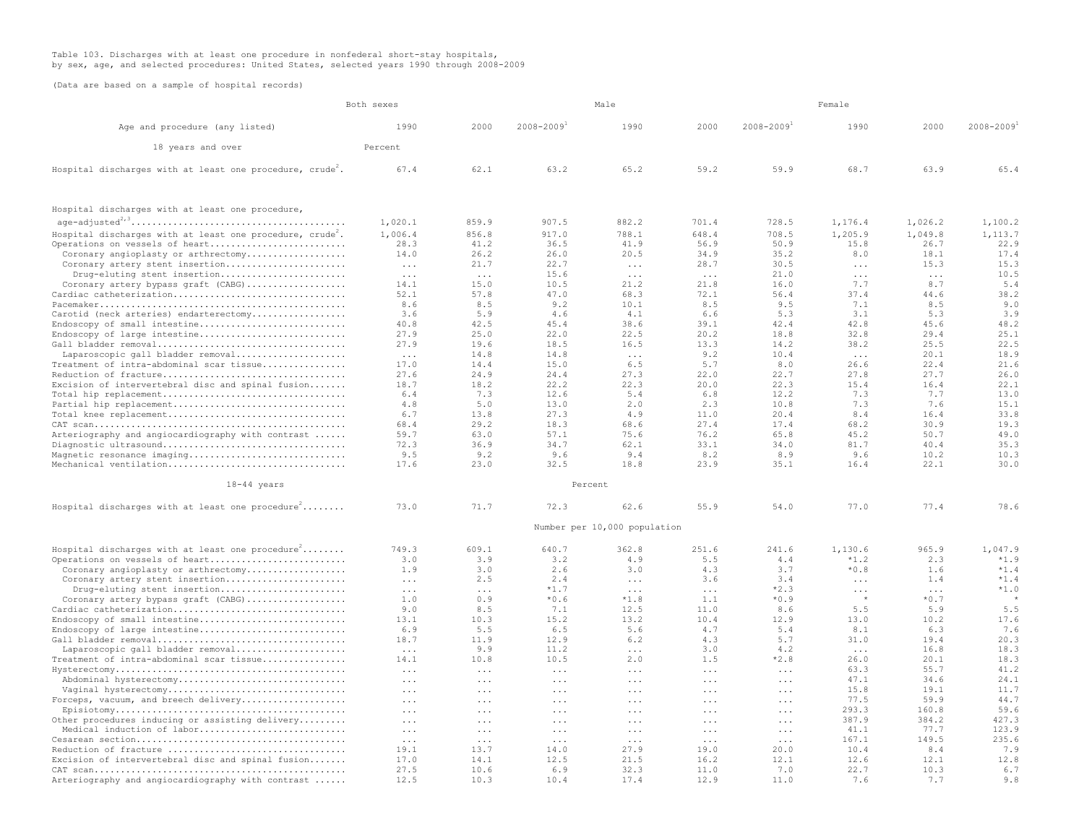## Table 103. Discharges with at least one procedure in nonfederal short-stay hospitals, by sex, age, and selected procedures: United States, selected years 1990 through 2008-2009

(Data are based on a sample of hospital records)

|                                                                                  | Both sexes                                   |                                 | Male                 |                              |                      | Female                     |               |                  |               |
|----------------------------------------------------------------------------------|----------------------------------------------|---------------------------------|----------------------|------------------------------|----------------------|----------------------------|---------------|------------------|---------------|
| Age and procedure (any listed)                                                   | 1990                                         | 2000                            | $2008 - 2009$        | 1990                         | 2000                 | $2008 - 2009$ <sup>+</sup> | 1990          | 2000             | $2008 - 2009$ |
| 18 years and over                                                                | Percent                                      |                                 |                      |                              |                      |                            |               |                  |               |
| Hospital discharges with at least one procedure, crude <sup>4</sup> .            | 67.4                                         | 62.1                            | 63.2                 | 65.2                         | 59.2                 | 59.9                       | 68.7          | 63.9             | 65.4          |
| Hospital discharges with at least one procedure,                                 |                                              |                                 |                      |                              |                      |                            |               |                  |               |
| $age-adjusted^{2/3}.\dots.\dots.\dots.\dots.\dots.\dots.\dots.\dots.\dots.\dots$ | 1,020.1                                      | 859.9                           | 907.5                | 882.2                        | 701.4                | 728.5                      | 1,176.4       | 1,026.2          | 1,100.2       |
| Hospital discharges with at least one procedure, $crude2$ .                      | 1,006.4                                      | 856.8                           | 917.0                | 788.1                        | 648.4                | 708.5                      | 1,205.9       | 1,049.8          | 1,113.7       |
| Operations on vessels of heart                                                   | 28.3                                         | 41.2                            | 36.5                 | 41.9                         | 56.9                 | 50.9                       | 15.8          | 26.7             | 22.9          |
| Coronary angioplasty or arthrectomy                                              | 14.0                                         | 26.2                            | 26.0                 | 20.5                         | 34.9                 | 35.2                       | 8.0           | 18.1             | 17.4          |
| Coronary artery stent insertion                                                  | $\cdots$                                     | 21.7                            | 22.7                 | $\cdots$                     | 28.7                 | 30.5                       | $\cdots$      | 15.3             | 15.3          |
| Drug-eluting stent insertion                                                     | $\cdot$                                      | $\cdot$                         | 15.6                 | $\cdot$                      | $\cdot$              | 21.0                       | $\ddots$      | $\cdot$          | 10.5          |
| Coronary artery bypass graft (CABG)                                              | 14.1                                         | 15.0                            | 10.5                 | 21.2                         | 21.8                 | 16.0                       | 7.7           | 8.7              | 5.4           |
| Cardiac catheterization                                                          | 52.1                                         | 57.8                            | 47.0                 | 68.3                         | 72.1                 | 56.4                       | 37.4          | 44.6             | 38.2          |
|                                                                                  | 8.6                                          | 8.5                             | 9.2                  | 10.1                         | 8.5                  | 9.5                        | 7.1           | 8.5              | 9.0           |
| Carotid (neck arteries) endarterectomy                                           | 3.6                                          | 5.9                             | 4.6                  | 4.1                          | 6.6                  | 5.3                        | 3.1           | 5.3              | 3.9           |
| Endoscopy of small intestine                                                     | 40.8                                         | 42.5                            | 45.4                 | 38.6                         | 39.1                 | 42.4                       | 42.8          | 45.6             | 48.2          |
| Endoscopy of large intestine                                                     | 27.9                                         | 25.0                            | 22.0                 | 22.5                         | 20.2                 | 18.8                       | 32.8          | 29.4             | 25.1          |
| Gall bladder removal                                                             | 27.9                                         | 19.6                            | 18.5                 | 16.5                         | 13.3                 | 14.2                       | 38.2          | 25.5             | 22.5          |
| Laparoscopic gall bladder removal                                                | $\cdot$                                      | 14.8                            | 14.8                 | $\cdot$                      | 9.2                  | 10.4                       | $\ldots$      | 20.1             | 18.9          |
| Treatment of intra-abdominal scar tissue                                         | 17.0<br>27.6                                 | 14.4<br>24.9                    | 15.0<br>24.4         | 6.5<br>27.3                  | 5.7<br>22.0          | 8.0<br>22.7                | 26.6<br>27.8  | 22.4<br>27.7     | 21.6<br>26.0  |
| Reduction of fracture<br>Excision of intervertebral disc and spinal fusion       | 18.7                                         | 18.2                            | 22.2                 | 22.3                         | 20.0                 | 22.3                       | 15.4          | 16.4             | 22.1          |
| Total hip replacement                                                            | 6.4                                          | 7.3                             | 12.6                 | 5.4                          | 6.8                  | 12.2                       | 7.3           | 7.7              | 13.0          |
| Partial hip replacement                                                          | 4.8                                          | 5.0                             | 13.0                 | 2.0                          | 2.3                  | 10.8                       | 7.3           | 7.6              | 15.1          |
| Total knee replacement                                                           | 6.7                                          | 13.8                            | 27.3                 | 4.9                          | 11.0                 | 20.4                       | 8.4           | 16.4             | 33.8          |
|                                                                                  | 68.4                                         | 29.2                            | 18.3                 | 68.6                         | 27.4                 | 17.4                       | 68.2          | 30.9             | 19.3          |
| Arteriography and angiocardiography with contrast                                | 59.7                                         | 63.0                            | 57.1                 | 75.6                         | 76.2                 | 65.8                       | 45.2          | 50.7             | 49.0          |
| Diagnostic ultrasound                                                            | 72.3                                         | 36.9                            | 34.7                 | 62.1                         | 33.1                 | 34.0                       | 81.7          | 40.4             | 35.3          |
| Magnetic resonance imaging                                                       | 9.5                                          | 9.2                             | 9.6                  | 9.4                          | 8.2                  | 8.9                        | 9.6           | 10.2             | 10.3          |
| Mechanical ventilation                                                           | 17.6                                         | 23.0                            | 32.5                 | 18.8                         | 23.9                 | 35.1                       | 16.4          | 22.1             | 30.0          |
| 18-44 years                                                                      |                                              |                                 |                      | Percent                      |                      |                            |               |                  |               |
| Hospital discharges with at least one procedure <sup>2</sup>                     | 73.0                                         | 71.7                            | 72.3                 | 62.6                         | 55.9                 | 54.0                       | 77.0          | 77.4             | 78.6          |
|                                                                                  |                                              |                                 |                      | Number per 10,000 population |                      |                            |               |                  |               |
| Hospital discharges with at least one procedure <sup>2</sup>                     | 749.3                                        | 609.1                           | 640.7                | 362.8                        | 251.6                | 241.6                      | 1,130.6       | 965.9            | 1,047.9       |
| Operations on vessels of heart                                                   | 3.0                                          | 3.9                             | 3.2                  | 4.9                          | 5.5                  | 4.4                        | $*1.2$        | 2.3              | $*1.9$        |
| Coronary angioplasty or arthrectomy                                              | 1.9                                          | 3.0                             | 2.6                  | 3.0                          | 4.3                  | 3.7                        | $*0.8$        | 1.6              | $*1.4$        |
| Coronary artery stent insertion                                                  | $\ldots$                                     | 2.5                             | 2.4                  | $\sim$ $\sim$ $\sim$         | 3.6                  | 3.4                        | $\ldots$ .    | 1.4              | $*1.4$        |
| Drug-eluting stent insertion                                                     | $\ldots$                                     | $\cdots$                        | $*1.7$               | $\cdots$                     | $\cdots$             | $*2.3$                     | $\ddots$      | $\cdots$         | $*1.0$        |
| Coronary artery bypass graft (CABG)                                              | 1.0                                          | 0.9                             | $*0.6$               | $*1.8$                       | 1.1                  | $*0.9$                     | $\rightarrow$ | $^{\star}$ 0 . 7 |               |
| Cardiac catheterization                                                          | 9.0                                          | 8.5                             | 7.1                  | 12.5                         | 11.0                 | 8.6                        | 5.5           | 5.9              | 5.5           |
| Endoscopy of small intestine                                                     | 13.1                                         | 10.3                            | 15.2                 | 13.2                         | 10.4                 | 12.9                       | 13.0          | 10.2             | 17.6          |
| Endoscopy of large intestine                                                     | 6.9                                          | 5.5                             | 6.5                  | 5.6                          | 4.7                  | 5.4                        | 8.1           | 6.3              | 7.6           |
| Gall bladder removal                                                             | 18.7                                         | 11.9                            | 12.9                 | 6.2                          | 4.3                  | 5.7                        | 31.0          | 19.4             | 20.3          |
| Laparoscopic gall bladder removal                                                | $\cdot$                                      | 9.9                             | 11.2                 | $\cdots$                     | 3.0                  | 4.2                        | $\cdots$      | 16.8             | 18.3          |
| Treatment of intra-abdominal scar tissue                                         | 14.1                                         | 10.8<br>$\cdot$ $\cdot$ $\cdot$ | 10.5<br>$\ldots$     | 2.0                          | 1.5                  | $*2.8$                     | 26.0<br>63.3  | 20.1<br>55.7     | 18.3<br>41.2  |
| Abdominal hysterectomy                                                           | $\cdots$                                     |                                 |                      | $\cdots$                     | $\cdots$             | $\cdots$                   | 47.1          | 34.6             | 24.1          |
| Vaginal hysterectomy                                                             | $\sim$ $\sim$ $\sim$<br>$\sim$ $\sim$ $\sim$ | $\ddots$<br>$\cdots$            | $\ldots$<br>$\cdots$ | $\cdots$<br>$\cdots$         | $\cdots$<br>$\cdots$ | $\cdots$<br>$\cdots$       | 15.8          | 19.1             | 11.7          |
| Forceps, vacuum, and breech delivery                                             | $\ddots$                                     | $\ddots$                        | $\ldots$             | $\cdots$                     | $\cdots$             | $\cdots$                   | 77.5          | 59.9             | 44.7          |
|                                                                                  | $\ddots$                                     | $\ddots$                        | $\ldots$             | $\cdots$                     | $\ldots$             | $\cdots$                   | 293.3         | 160.8            | 59.6          |
| Other procedures inducing or assisting delivery                                  | $\cdots$                                     | $\cdots$                        | $\cdots$             | $\cdots$                     | $\cdots$             | $\cdots$                   | 387.9         | 384.2            | 427.3         |
| Medical induction of labor                                                       | $\ldots$                                     | $\ddots$                        | $\ldots$             | $\ldots$                     | $\cdots$             | $\cdots$                   | 41.1          | 77.7             | 123.9         |
|                                                                                  | $\ldots$                                     | $\cdots$                        | $\ldots$ .           | $\ldots$                     | $\ldots$             | $\cdots$                   | 167.1         | 149.5            | 235.6         |
| Reduction of fracture                                                            | 19.1                                         | 13.7                            | 14.0                 | 27.9                         | 19.0                 | 20.0                       | 10.4          | 8.4              | 7.9           |
| Excision of intervertebral disc and spinal fusion                                | 17 <sub>0</sub>                              | 14.1                            | 12.5                 | 21.5                         | 16.2                 | 12.1                       | 12.6          | 12.1             | 12.8          |
|                                                                                  | 27.5                                         | 10.6                            | 6.9                  | 32.3                         | 11.0                 | 7.0                        | 22.7          | 10.3             | 6.7           |
| Arteriography and angiocardiography with contrast                                | 12.5                                         | 10.3                            | 10.4                 | 17.4                         | 12.9                 | 11.0                       | 7.6           | 7.7              | 9.8           |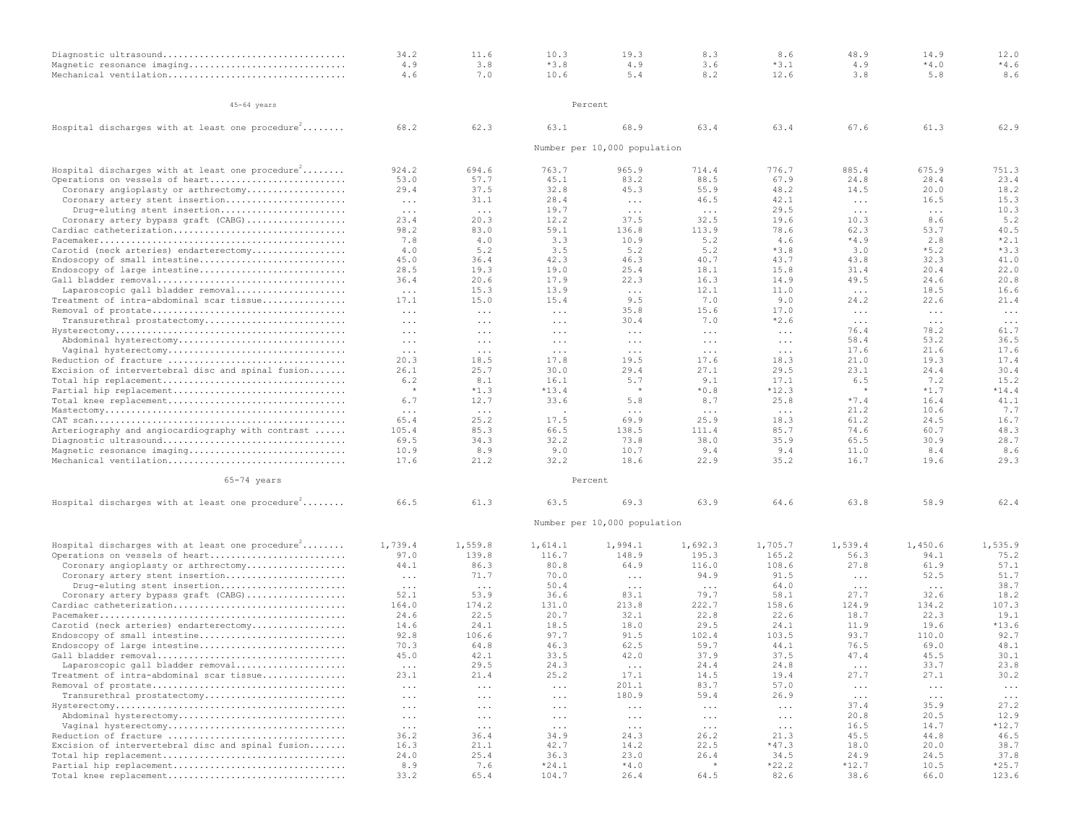| Diagnostic ultrasound                                        | 34.2                 | 11.6     | 10.3       | 19.3                         | 8.3                  | 8.6      | 48.9                 | 14.9                 | 12.0     |
|--------------------------------------------------------------|----------------------|----------|------------|------------------------------|----------------------|----------|----------------------|----------------------|----------|
| Magnetic resonance imaging                                   | 4.9                  | 3.8      | $*3.8$     | 4.9                          | 3.6                  | $*3.1$   | 4.9                  | $*4.0$               | $*4.6$   |
| Mechanical ventilation                                       | 4.6                  | 7.0      | 10.6       | 5.4                          | 8.2                  | 12.6     | 3.8                  | 5.8                  | 8.6      |
|                                                              |                      |          |            |                              |                      |          |                      |                      |          |
|                                                              |                      |          |            |                              |                      |          |                      |                      |          |
| 45-64 years                                                  |                      |          |            | Percent                      |                      |          |                      |                      |          |
| Hospital discharges with at least one procedure <sup>2</sup> | 68.2                 | 62.3     | 63.1       | 68.9                         | 63.4                 | 63.4     | 67.6                 | 61.3                 | 62.9     |
|                                                              |                      |          |            |                              |                      |          |                      |                      |          |
|                                                              |                      |          |            | Number per 10,000 population |                      |          |                      |                      |          |
| Hospital discharges with at least one procedure <sup>2</sup> | 924.2                | 694.6    | 763.7      | 965.9                        | 714.4                | 776.7    | 885.4                | 675.9                | 751.3    |
| Operations on vessels of heart                               | 53.0                 | 57.7     | 45.1       | 83.2                         | 88.5                 | 67.9     | 24.8                 | 28.4                 | 23.4     |
| Coronary angioplasty or arthrectomy                          | 29.4                 | 37.5     | 32.8       | 45.3                         | 55.9                 | 48.2     | 14.5                 | 20.0                 | 18.2     |
| Coronary artery stent insertion                              | $\ldots$             | 31.1     | 28.4       | $\ldots$                     | 46.5                 | 42.1     | $\ldots$             | 16.5                 | 15.3     |
| Drug-eluting stent insertion                                 | $\sim$ $\sim$ $\sim$ | $\ldots$ | 19.7       | $\ldots$                     | $\ldots$ .           | 29.5     | $\ldots$             | $\ldots$             | 10.3     |
| Coronary artery bypass graft (CABG)                          | 23.4                 | 20.3     | 12.2       | 37.5                         | 32.5                 | 19.6     | 10.3                 | 8.6                  | 5.2      |
| Cardiac catheterization                                      | 98.2                 | 83.0     | 59.1       | 136.8                        | 113.9                | 78.6     | 62.3                 | 53.7                 | 40.5     |
|                                                              | 7.8                  | 4.0      | 3.3        | 10.9                         | 5.2                  | 4.6      | $*4.9$               | 2.8                  | $*2.1$   |
| Carotid (neck arteries) endarterectomy                       | 4.0                  | 5.2      | 3.5        | 5.2                          | 5.2                  | $*3.8$   | 3.0                  | $*5.2$               | $*3.3$   |
| Endoscopy of small intestine                                 | 45.0                 | 36.4     | 42.3       | 46.3                         | 40.7                 | 43.7     | 43.8                 | 32.3                 | 41.0     |
| Endoscopy of large intestine                                 | 28.5                 | 19.3     | 19.0       | 25.4                         | 18.1                 | 15.8     | 31.4                 | 20.4                 | 22.0     |
| Gall bladder removal                                         | 36.4                 | 20.6     | 17.9       | 22.3                         | 16.3                 | 14.9     | 49.5                 | 24.6                 | 20.8     |
| Laparoscopic gall bladder removal                            | $\ldots$ .           | 15.3     | 13.9       | $\ldots$                     | 12.1                 | 11.0     | $\ldots$ .           | 18.5                 | 16.6     |
| Treatment of intra-abdominal scar tissue                     | 17.1                 | 15.0     | 15.4       | 9.5                          | 7.0                  | 9.0      | 24.2                 | 22.6                 | 21.4     |
|                                                              | $\ldots$             | $\ldots$ | $\cdots$   | 35.8                         | 15.6                 | 17.0     | $\ldots$             | $\ldots$ .           | $\cdots$ |
| Transurethral prostatectomy                                  | $\ldots$ .           | $\ldots$ | $\ldots$ . | 30.4                         | 7.0                  | $*2.6$   | $\ldots$ .           | $\sim$ $\sim$ $\sim$ | $\ldots$ |
|                                                              | $\cdots$             | $\ddots$ | $\cdots$   | $\cdots$                     | $\cdots$             | $\cdots$ | 76.4                 | 78.2                 | 61.7     |
| Abdominal hysterectomy                                       | $\ldots$ .           | $\ldots$ | $\cdots$   | $\cdots$                     | $\cdots$             | $\ldots$ | 58.4                 | 53.2                 | 36.5     |
| Vaginal hysterectomy                                         | $\ldots$ .           | $\ldots$ | $\ldots$ . | $\ldots$                     | $\cdots$             | $\ldots$ | 17.6                 | 21.6                 | 17.6     |
| Reduction of fracture                                        | 20.3                 | 18.5     | 17.8       | 19.5                         | 17.6                 | 18.3     | 21.0                 | 19.3                 | 17.4     |
| Excision of intervertebral disc and spinal fusion            | 26.1                 | 25.7     | 30.0       | 29.4                         | 27.1                 | 29.5     | 23.1                 | 24.4                 | 30.4     |
| Total hip replacement                                        | 6.2                  | 8.1      | 16.1       | 5.7                          | 9.1                  | 17.1     | 6.5                  | 7.2                  | 15.2     |
| Partial hip replacement                                      |                      | $*1.3$   | $*13.4$    |                              | $*0.8$               | $*12.3$  | $\star$              | $*1.7$               | $*14.4$  |
| Total knee replacement                                       | 6.7                  | 12.7     | 33.6       | 5.8                          | 8.7                  | 25.8     | $*7.4$               | 16.4                 | 41.1     |
|                                                              | $\cdots$             | $\cdots$ |            | $\cdots$                     | $\cdots$             | $\cdots$ | 21.2                 | 10.6                 | 7.7      |
|                                                              | 65.4                 | 25.2     | 17.5       | 69.9                         | 25.9                 | 18.3     | 61.2                 | 24.5                 | 16.7     |
| Arteriography and angiocardiography with contrast            | 105.4                | 85.3     | 66.5       | 138.5                        | 111.4                | 85.7     | 74.6                 | 60.7                 | 48.3     |
| Diagnostic ultrasound                                        | 69.5                 | 34.3     | 32.2       | 73.8                         | 38.0                 | 35.9     | 65.5                 | 30.9                 | 28.7     |
| Magnetic resonance imaging                                   | 10.9                 | 8.9      | 9.0        | 10.7                         | 9.4                  | 9.4      | 11.0                 | 8.4                  | 8.6      |
| Mechanical ventilation                                       | 17.6                 | 21.2     | 32.2       | 18.6                         | 22.9                 | 35.2     | 16.7                 | 19.6                 | 29.3     |
| 65-74 years                                                  |                      |          |            | Percent                      |                      |          |                      |                      |          |
| Hospital discharges with at least one procedure $f$          | 66.5                 | 61.3     | 63.5       | 69.3                         | 63.9                 | 64.6     | 63.8                 | 58.9                 | 62.4     |
|                                                              |                      |          |            |                              |                      |          |                      |                      |          |
|                                                              |                      |          |            | Number per 10,000 population |                      |          |                      |                      |          |
| Hospital discharges with at least one procedure <sup>2</sup> | 1,739.4              | 1,559.8  | 1,614.1    | 1,994.1                      | 1,692.3              | 1,705.7  | 1,539.4              | 1,450.6              | 1,535.9  |
| Operations on vessels of heart                               | 97.0                 | 139.8    | 116.7      | 148.9                        | 195.3                | 165.2    | 56.3                 | 94.1                 | 75.2     |
| Coronary angioplasty or arthrectomy                          | 44.1                 | 86.3     | 80.8       | 64.9                         | 116.0                | 108.6    | 27.8                 | 61.9                 | 57.1     |
| Coronary artery stent insertion                              | $\ldots$ .           | 71.7     | 70.0       | $\ldots$                     | 94.9                 | 91.5     | $\ldots$             | 52.5                 | 51.7     |
| Drug-eluting stent insertion                                 | $\sim$ $\sim$ $\sim$ | $\ldots$ | 50.4       | $\cdots$                     | $\sim$ $\sim$ $\sim$ | 64.0     | $\ldots$             | $\sim$ $\sim$ $\sim$ | 38.7     |
| Coronary artery bypass graft (CABG)                          | 52.1                 | 53.9     | 36.6       | 83.1                         | 79.7                 | 58.1     | 27.7                 | 32.6                 | 18.2     |
| Cardiac catheterization                                      | 164.0                | 174.2    | 131.0      | 213.8                        | 222.7                | 158.6    | 124.9                | 134.2                | 107.3    |
|                                                              | 24.6                 | 22.5     | 20.7       | 32.1                         | 22.8                 | 22.6     | 18.7                 | 22.3                 | 19.1     |
| Carotid (neck arteries) endarterectomy                       | 14.6                 | 24.1     | 18.5       | 18.0                         | 29.5                 | 24.1     | 11.9                 | 19.6                 | $*13.6$  |
| Endoscopy of small intestine                                 | 92.8                 | 106.6    | 97.7       | 91.5                         | 102.4                | 103.5    | 93.7                 | 110.0                | 92.7     |
| Endoscopy of large intestine                                 | 70.3                 | 64.8     | 46.3       | 62.5                         | 59.7                 | 44.1     | 76.5                 | 69.0                 | 48.1     |
| Gall bladder removal                                         | 45.0                 | 42.1     | 33.5       | 42.0                         | 37.9                 | 37.5     | 47.4                 | 45.5                 | 30.1     |
| Laparoscopic gall bladder removal                            | $\ldots$ .           | 29.5     | 24.3       | $\sim$ $\sim$ $\sim$         | 24.4                 | 24.8     | $\ldots$             | 33.7                 | 23.8     |
| Treatment of intra-abdominal scar tissue                     | 23.1                 | 21.4     | 25.2       | 17.1                         | 14.5                 | 19.4     | 27.7                 | 27.1                 | 30.2     |
|                                                              | $\ldots$             | $\ldots$ | $\ldots$ . | 201.1                        | 83.7                 | 57.0     | $\ldots$ .           | $\ldots$             | $\ldots$ |
| Transurethral prostatectomy                                  | $\cdots$             | $\cdots$ | $\cdots$   | 180.9                        | 59.4                 | 26.9     | $\sim$ $\sim$ $\sim$ | $\ldots$             | $\cdots$ |
|                                                              | $\ldots$ .           | $\ldots$ | $\ldots$ . | $\ldots$                     | $\ldots$ .           | $\ldots$ | 37.4                 | 35.9                 | 27.2     |
| Abdominal hysterectomy                                       | $\ldots$ .           | $\ldots$ | $\ldots$ . | $\ldots$                     | $\ldots$ .           | $\ldots$ | 20.8                 | 20.5                 | 12.9     |
| Vaginal hysterectomy                                         | $\ldots$ .           | $\cdots$ | $\ldots$ . | $\ldots$                     | $\cdots$             | $\ldots$ | 16.5                 | 14.7                 | $*12.7$  |
| Reduction of fracture                                        | 36.2                 | 36.4     | 34.9       | 24.3                         | 26.2                 | 21.3     | 45.5                 | 44.8                 | 46.5     |
| Excision of intervertebral disc and spinal fusion            | 16.3                 | 21.1     | 42.7       | 14.2                         | 22.5                 | $*47.3$  | 18.0                 | 20.0                 | 38.7     |
| Total hip replacement                                        | 24.0                 | 25.4     | 36.3       | 23.0                         | 26.4                 | 34.5     | 24.9                 | 24.5                 | 37.8     |
| Partial hip replacement                                      | 8.9                  | 7.6      | $*24.1$    | $*4.0$                       |                      | $*22.2$  | $*12.7$              | 10.5                 | $*25.7$  |
| Total knee replacement                                       | 33.2                 | 65.4     | 104.7      | 26.4                         | 64.5                 | 82.6     | 38.6                 | 66.0                 | 123.6    |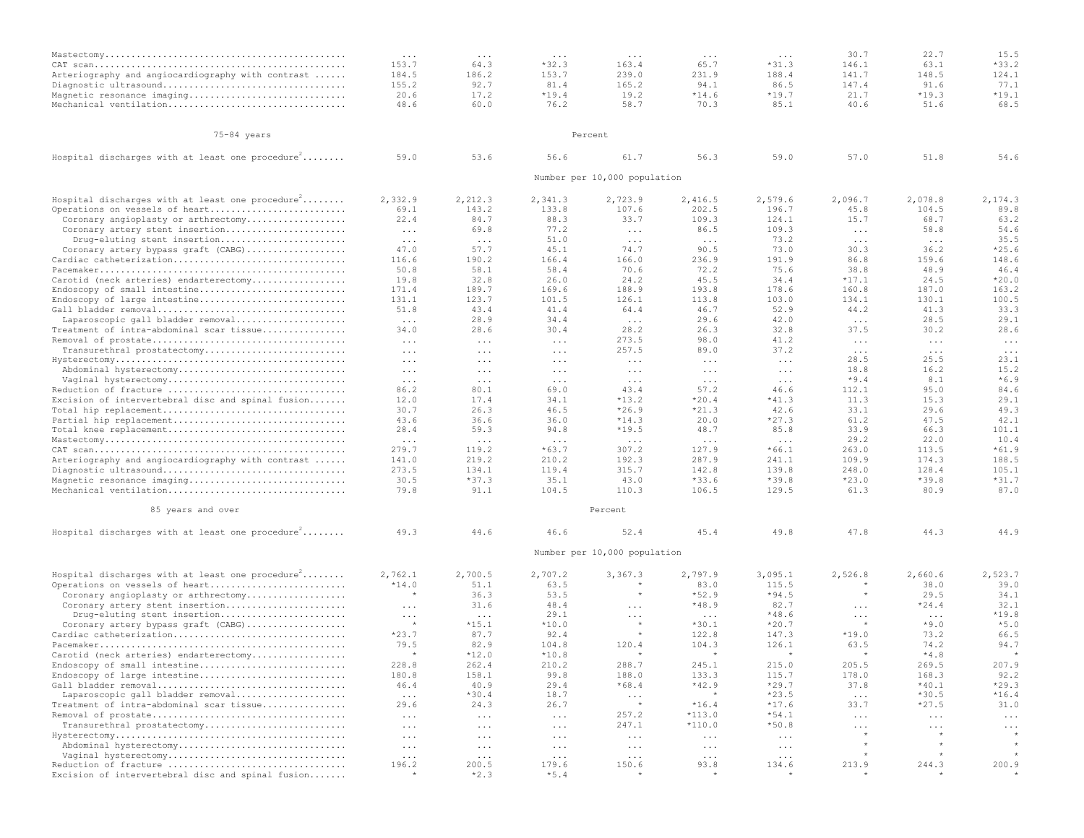|                                                              | $\cdots$             | $\cdots$             | $\cdots$                 | $\cdots$                     | $\cdots$             | $\cdots$             | 30.7                               | 22.7                               | 15.5                |
|--------------------------------------------------------------|----------------------|----------------------|--------------------------|------------------------------|----------------------|----------------------|------------------------------------|------------------------------------|---------------------|
|                                                              | 153.7                | 64.3                 | $*32.3$                  | 163.4                        | 65.7                 | $*31.3$              | 146.1                              | 63.1                               | $*33.2$             |
| Arteriography and angiocardiography with contrast            | 184.5                | 186.2                | 153.7                    | 239.0                        | 231.9                | 188.4                | 141.7                              | 148.5                              | 124.1               |
| Diagnostic ultrasound                                        | 155.2                | 92.7                 | 81.4                     | 165.2                        | 94.1                 | 86.5                 | 147.4                              | 91.6                               | 77.1                |
| Magnetic resonance imaging                                   | 20.6                 | 17.2                 | $*19.4$                  | 19.2                         | $*14.6$              | $*19.7$              | 21.7                               | $*19.3$                            | $*19.1$             |
| Mechanical ventilation                                       | 48.6                 | 60.0                 | 76.2                     | 58.7                         | 70.3                 | 85.1                 | 40.6                               | 51.6                               | 68.5                |
|                                                              |                      |                      |                          |                              |                      |                      |                                    |                                    |                     |
| 75-84 years                                                  |                      |                      |                          | Percent                      |                      |                      |                                    |                                    |                     |
| Hospital discharges with at least one procedure <sup>2</sup> | 59.0                 | 53.6                 | 56.6                     | 61.7                         | 56.3                 | 59.0                 | 57.0                               | 51.8                               | 54.6                |
|                                                              |                      |                      |                          | Number per 10,000 population |                      |                      |                                    |                                    |                     |
| Hospital discharges with at least one procedure $\hat{f}$    | 2,332.9              | 2,212.3              | 2,341.3                  | 2,723.9                      | 2,416.5              | 2,579.6              | 2,096.7                            | 2,078.8                            | 2,174.3             |
| Operations on vessels of heart                               | 69.1                 | 143.2                | 133.8                    | 107.6                        | 202.5                | 196.7                | 45.8                               | 104.5                              | 89.8                |
| Coronary angioplasty or arthrectomy                          | 22.4                 | 84.7                 | 88.3                     | 33.7                         | 109.3                | 124.1                | 15.7                               | 68.7                               | 63.2                |
| Coronary artery stent insertion                              | $\sim$ $\sim$ $\sim$ | 69.8                 | 77.2                     | $\cdots$                     | 86.5                 | 109.3                | $\cdots$                           | 58.8                               | 54.6                |
| Drug-eluting stent insertion                                 | $\sim$ $\sim$ $\sim$ | $\sim$ $\sim$ $\sim$ | 51.0                     | $\ldots$ .                   | $\cdots$             | 73.2                 | $\sim$ $\sim$ $\sim$               | $\sim$ $\sim$ $\sim$               | 35.5                |
| Coronary artery bypass graft (CABG)                          | 47.0                 | 57.7                 | 45.1                     | 74.7                         | 90.5                 | 73.0                 | 30.3                               | 36.2                               | $*25.6$             |
| Cardiac catheterization                                      | 116.6                | 190.2                | 166.4                    | 166.0                        | 236.9                | 191.9                | 86.8                               | 159.6                              | 148.6               |
|                                                              | 50.8                 | 58.1                 | 58.4                     | 70.6                         | 72.2                 | 75.6                 | 38.8                               | 48.9                               | 46.4                |
| Carotid (neck arteries) endarterectomy                       | 19.8                 | 32.8                 | 26.0                     | 24.2                         | 45.5                 | 34.4                 | $*17.1$                            | 24.5                               | $*20.0$             |
| Endoscopy of small intestine                                 | 171.4                | 189.7                | 169.6                    | 188.9                        | 193.8                | 178.6                | 160.8                              | 187.0                              | 163.2               |
| Endoscopy of large intestine                                 | 131.1                | 123.7                | 101.5                    | 126.1                        | 113.8                | 103.0                | 134.1                              | 130.1                              | 100.5               |
| Gall bladder removal<br>Laparoscopic gall bladder removal    | 51.8                 | 43.4<br>28.9         | 41.4<br>34.4             | 64.4                         | 46.7<br>29.6         | 52.9<br>42.0         | 44.2                               | 41.3<br>28.5                       | 33.3<br>29.1        |
| Treatment of intra-abdominal scar tissue                     | $\ldots$<br>34.0     | 28.6                 | 30.4                     | $\ldots$ .<br>28.2           | 26.3                 | 32.8                 | $\ldots$ .<br>37.5                 | 30.2                               | 28.6                |
|                                                              |                      |                      |                          | 273.5                        | 98.0                 | 41.2                 |                                    |                                    |                     |
| Transurethral prostatectomy                                  | $\ldots$<br>$\cdots$ | $\ldots$<br>$\cdots$ | $\cdots$<br>$\cdots$     | 257.5                        | 89.0                 | 37.2                 | $\ldots$ .<br>$\sim$ $\sim$ $\sim$ | $\ldots$ .<br>$\sim$ $\sim$ $\sim$ | $\cdot$<br>$\ldots$ |
|                                                              | $\ddots$             | $\cdots$             | $\ldots$ .               | $\ddots$                     | $\cdots$             | $\ldots$             | 28.5                               | 25.5                               | 23.1                |
| Abdominal hysterectomy                                       | $\ldots$             | $\ddots$             | $\ldots$ .               | $\ldots$                     | $\ldots$             | $\ldots$             | 18.8                               | 16.2                               | 15.2                |
| Vaginal hysterectomy                                         | $\cdots$             | $\ddots$             | $\cdots$                 | $\ldots$                     | $\cdots$             | $\cdot$              | $*9.4$                             | 8.1                                | $*6.9$              |
| Reduction of fracture                                        | 86.2                 | 80.1                 | 69.0                     | 43.4                         | 57.2                 | 46.6                 | 112.1                              | 95.0                               | 84.6                |
| Excision of intervertebral disc and spinal fusion            | 12.0                 | 17.4                 | 34.1                     | $*13.2$                      | $*20.4$              | $*41.3$              | 11.3                               | 15.3                               | 29.1                |
| Total hip replacement                                        | 30.7                 | 26.3                 | 46.5                     | $*26.9$                      | $*21.3$              | 42.6                 | 33.1                               | 29.6                               | 49.3                |
| Partial hip replacement                                      | 43.6                 | 36.6                 | 36.0                     | $*14.3$                      | 20.0                 | $*27.3$              | 61.2                               | 47.5                               | 42.1                |
| Total knee replacement                                       | 28.4                 | 59.3                 | 94.8                     | $*19.5$                      | 48.7                 | 85.8                 | 33.9                               | 66.3                               | 101.1               |
|                                                              | $\cdots$             | $\cdots$             | $\cdots$                 | $\cdots$                     | $\cdots$             | $\cdots$             | 29.2                               | 22.0                               | 10.4                |
|                                                              | 279.7                | 119.2                | $*63.7$                  | 307.2                        | 127.9                | $*66.1$              | 263.0                              | 113.5                              | $*61.9$             |
| Arteriography and angiocardiography with contrast            | 141.0                | 219.2                | 210.2                    | 192.3                        | 287.9                | 241.1                | 109.9                              | 174.3                              | 188.5               |
| Diagnostic ultrasound                                        | 273.5                | 134.1                | 119.4                    | 315.7                        | 142.8                | 139.8                | 248.0                              | 128.4                              | 105.1               |
| Magnetic resonance imaging<br>Mechanical ventilation         | 30.5<br>79.8         | $*37.3$<br>91.1      | 35.1<br>104.5            | 43.0<br>110.3                | $*33.6$<br>106.5     | $*39.8$<br>129.5     | $*23.0$<br>61.3                    | $*39.8$<br>80.9                    | $*31.7$<br>87.0     |
|                                                              |                      |                      |                          |                              |                      |                      |                                    |                                    |                     |
| 85 years and over                                            |                      |                      |                          | Percent                      |                      |                      |                                    |                                    |                     |
| Hospital discharges with at least one procedure <sup>2</sup> | 49.3                 | 44.6                 | 46.6                     | 52.4                         | 45.4                 | 49.8                 | 47.8                               | 44.3                               | 44.9                |
|                                                              |                      |                      |                          | Number per 10,000 population |                      |                      |                                    |                                    |                     |
| Hospital discharges with at least one procedure <sup>2</sup> | 2,762.1              | 2,700.5              | 2,707.2                  | 3,367.3                      | 2,797.9              | 3,095.1              | 2,526.8                            | 2,660.6                            | 2,523.7             |
| Operations on vessels of heart                               | $*14.0$              | 51.1                 | 63.5                     |                              | 83.0                 | 115.5                |                                    | 38.0                               | 39.0                |
| Coronary angioplasty or arthrectomy                          |                      | 36.3                 | 53.5                     | $\star$                      | $*52.9$              | $*94.5$              | $\star$                            | 29.5                               | 34.1                |
| Coronary artery stent insertion                              | $\cdots$             | 31.6                 | 48.4                     | $\cdots$                     | $*48.9$              | 82.7                 | $\cdots$                           | $*24.4$                            | 32.1                |
| Drug-eluting stent insertion                                 | $\ldots$             | $\sim$ $\sim$ $\sim$ | 29.1                     | $\cdots$                     | $\ldots$ .           | $*48.6$              | $\ldots$                           | $\ldots$ .                         | $*19.8$             |
| Coronary artery bypass graft (CABG)                          |                      | $*15.1$              | $*10.0$                  |                              | $*30.1$              | $*20.7$              | $+$                                | $*9.0$                             | $*5.0$              |
| Cardiac catheterization                                      | $*23.7$              | 87.7                 | 92.4                     | $\star$                      | 122.8                | 147.3                | $*19.0$                            | 73.2                               | 66.5                |
|                                                              | 79.5                 | 82.9                 | 104.8                    | 120.4                        | 104.3                | 126.1                | 63.5                               | 74.2                               | 94.7                |
| Carotid (neck arteries) endarterectomy                       |                      | $*12.0$              | $*10.8$                  | $\star$                      | $\star$              |                      |                                    | $*4.8$                             | $\star$             |
| Endoscopy of small intestine                                 | 228.8                | 262.4                | 210.2                    | 288.7                        | 245.1                | 215.0                | 205.5                              | 269.5                              | 207.9               |
| Endoscopy of large intestine                                 | 180.8                | 158.1                | 99.8                     | 188.0                        | 133.3                | 115.7                | 178.0                              | 168.3                              | 92.2                |
| Gall bladder removal                                         | 46.4                 | 40.9                 | 29.4                     | $*68.4$                      | $*42.9$              | $*29.7$              | 37.8                               | $*40.1$                            | $*29.3$             |
| Laparoscopic gall bladder removal                            | $\sim$ $\sim$ $\sim$ | $*30.4$              | 18.7                     | $\ldots$<br>$\star$          | $*16.4$              | $*23.5$              | $\sim$ $\sim$ $\sim$               | $*30.5$                            | $*16.4$             |
| Treatment of intra-abdominal scar tissue                     | 29.6                 | 24.3                 | 26.7                     | 257.2                        | $*113.0$             | $*17.6$<br>$*54.1$   | 33.7<br>$\ldots$ .                 | $*27.5$                            | 31.0                |
| Transurethral prostatectomy                                  | $\ldots$             | $\sim$ $\sim$ $\sim$ | $\ldots$                 | 247.1                        | $*110.0$             | $*50.8$              |                                    | $\ldots$                           | $\ddots$            |
|                                                              | $\cdots$<br>$\cdots$ | $\cdots$             | $\cdots$                 |                              |                      | $\sim$ $\sim$ $\sim$ | $\sim$ $\sim$ $\sim$               | $\ldots$ .                         | $\cdots$            |
| Abdominal hysterectomy                                       | $\ldots$ .           | $\ldots$<br>$\ldots$ | $\ldots$ .<br>$\ldots$ . | $\ldots$ .<br>$\ldots$ .     | $\ldots$<br>$\ldots$ | $\ldots$             | $\star$                            | $^\star$                           | $^\star$            |
| Vaginal hysterectomy                                         | $\sim$ $\sim$ $\sim$ | $\ldots$             | $\ldots$                 | $\ldots$                     | $\ldots$             | $\ldots$             |                                    |                                    |                     |
| Reduction of fracture                                        | 196.2                | 200.5                | 179.6                    | 150.6                        | 93.8                 | 134.6                | 213.9                              | 244.3                              | 200.9               |
| Excision of intervertebral disc and spinal fusion            | $\star$              | $*2.3$               | $*5.4$                   | $\star$                      | $\star$              | $\star$              | $\star$                            | $\star$                            | $\star$             |